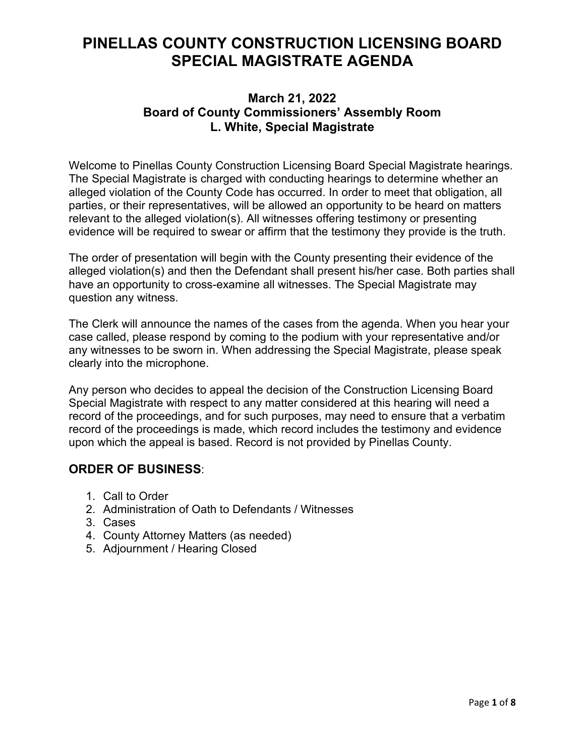# **PINELLAS COUNTY CONSTRUCTION LICENSING BOARD SPECIAL MAGISTRATE AGENDA**

## **March 21, 2022 Board of County Commissioners' Assembly Room L. White, Special Magistrate**

Welcome to Pinellas County Construction Licensing Board Special Magistrate hearings. The Special Magistrate is charged with conducting hearings to determine whether an alleged violation of the County Code has occurred. In order to meet that obligation, all parties, or their representatives, will be allowed an opportunity to be heard on matters relevant to the alleged violation(s). All witnesses offering testimony or presenting evidence will be required to swear or affirm that the testimony they provide is the truth.

The order of presentation will begin with the County presenting their evidence of the alleged violation(s) and then the Defendant shall present his/her case. Both parties shall have an opportunity to cross-examine all witnesses. The Special Magistrate may question any witness.

The Clerk will announce the names of the cases from the agenda. When you hear your case called, please respond by coming to the podium with your representative and/or any witnesses to be sworn in. When addressing the Special Magistrate, please speak clearly into the microphone.

Any person who decides to appeal the decision of the Construction Licensing Board Special Magistrate with respect to any matter considered at this hearing will need a record of the proceedings, and for such purposes, may need to ensure that a verbatim record of the proceedings is made, which record includes the testimony and evidence upon which the appeal is based. Record is not provided by Pinellas County.

## **ORDER OF BUSINESS**:

- 1. Call to Order
- 2. Administration of Oath to Defendants / Witnesses
- 3. Cases
- 4. County Attorney Matters (as needed)
- 5. Adjournment / Hearing Closed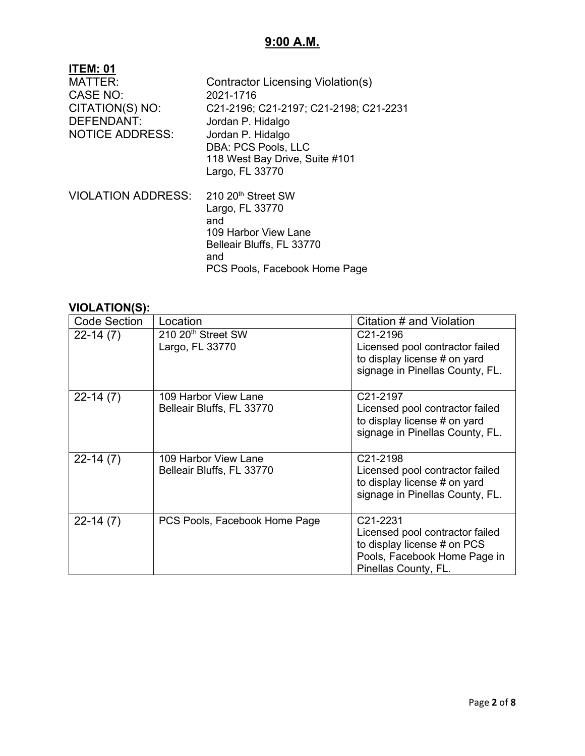## **9:00 A.M.**

| <b>ITEM: 01</b><br><b>MATTER:</b><br>CASE NO:<br>CITATION(S) NO:<br>DEFENDANT:<br><b>NOTICE ADDRESS:</b> | Contractor Licensing Violation(s)<br>2021-1716<br>C21-2196; C21-2197; C21-2198; C21-2231<br>Jordan P. Hidalgo<br>Jordan P. Hidalgo<br>DBA: PCS Pools, LLC<br>118 West Bay Drive, Suite #101<br>Largo, FL 33770 |
|----------------------------------------------------------------------------------------------------------|----------------------------------------------------------------------------------------------------------------------------------------------------------------------------------------------------------------|
| VIOLATION ADDRESS:                                                                                       | 210 20 <sup>th</sup> Street SW<br>Largo, FL 33770<br>and<br>109 Harbor View Lane<br>Belleair Bluffs, FL 33770<br>and<br>PCS Pools, Facebook Home Page                                                          |

| <br><b>Code Section</b> | Location                       | Citation # and Violation        |
|-------------------------|--------------------------------|---------------------------------|
|                         |                                |                                 |
| $22-14(7)$              | 210 20 <sup>th</sup> Street SW | C21-2196                        |
|                         | Largo, FL 33770                | Licensed pool contractor failed |
|                         |                                | to display license # on yard    |
|                         |                                | signage in Pinellas County, FL. |
|                         |                                |                                 |
| $22-14(7)$              | 109 Harbor View Lane           | C21-2197                        |
|                         | Belleair Bluffs, FL 33770      | Licensed pool contractor failed |
|                         |                                | to display license # on yard    |
|                         |                                | signage in Pinellas County, FL. |
|                         |                                |                                 |
| $22-14(7)$              | 109 Harbor View Lane           | C21-2198                        |
|                         | Belleair Bluffs, FL 33770      | Licensed pool contractor failed |
|                         |                                | to display license # on yard    |
|                         |                                | signage in Pinellas County, FL. |
|                         |                                |                                 |
| $22-14(7)$              | PCS Pools, Facebook Home Page  | C21-2231                        |
|                         |                                | Licensed pool contractor failed |
|                         |                                | to display license # on PCS     |
|                         |                                | Pools, Facebook Home Page in    |
|                         |                                | Pinellas County, FL.            |
|                         |                                |                                 |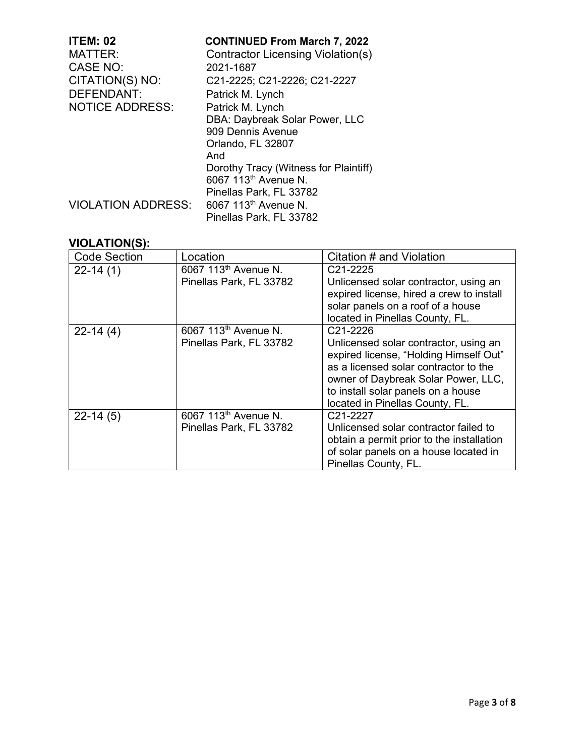| <b>ITEM: 02</b><br><b>MATTER:</b> | <b>CONTINUED From March 7, 2022</b><br>Contractor Licensing Violation(s) |
|-----------------------------------|--------------------------------------------------------------------------|
| <b>CASE NO:</b>                   | 2021-1687                                                                |
| CITATION(S) NO:                   | C21-2225; C21-2226; C21-2227                                             |
| <b>DEFENDANT:</b>                 | Patrick M. Lynch                                                         |
| <b>NOTICE ADDRESS:</b>            | Patrick M. Lynch                                                         |
|                                   | DBA: Daybreak Solar Power, LLC                                           |
|                                   | 909 Dennis Avenue                                                        |
|                                   | Orlando, FL 32807                                                        |
|                                   | And                                                                      |
|                                   | Dorothy Tracy (Witness for Plaintiff)                                    |
|                                   | 6067 113 <sup>th</sup> Avenue N.                                         |
|                                   | Pinellas Park, FL 33782                                                  |
| <b>VIOLATION ADDRESS:</b>         | 6067 113 <sup>th</sup> Avenue N.                                         |
|                                   | Pinellas Park, FL 33782                                                  |

| <b>Code Section</b> | Location                         | Citation # and Violation                                                                                                                                                                                                                 |
|---------------------|----------------------------------|------------------------------------------------------------------------------------------------------------------------------------------------------------------------------------------------------------------------------------------|
| $22 - 14(1)$        | 6067 113 <sup>th</sup> Avenue N. | C <sub>21</sub> -2225                                                                                                                                                                                                                    |
|                     | Pinellas Park, FL 33782          | Unlicensed solar contractor, using an<br>expired license, hired a crew to install<br>solar panels on a roof of a house<br>located in Pinellas County, FL.                                                                                |
| $22-14(4)$          | 6067 113 <sup>th</sup> Avenue N. | C21-2226                                                                                                                                                                                                                                 |
|                     | Pinellas Park, FL 33782          | Unlicensed solar contractor, using an<br>expired license, "Holding Himself Out"<br>as a licensed solar contractor to the<br>owner of Daybreak Solar Power, LLC,<br>to install solar panels on a house<br>located in Pinellas County, FL. |
| $22-14(5)$          | 6067 113 <sup>th</sup> Avenue N. | C <sub>21</sub> -2227                                                                                                                                                                                                                    |
|                     | Pinellas Park, FL 33782          | Unlicensed solar contractor failed to                                                                                                                                                                                                    |
|                     |                                  | obtain a permit prior to the installation                                                                                                                                                                                                |
|                     |                                  | of solar panels on a house located in                                                                                                                                                                                                    |
|                     |                                  | Pinellas County, FL.                                                                                                                                                                                                                     |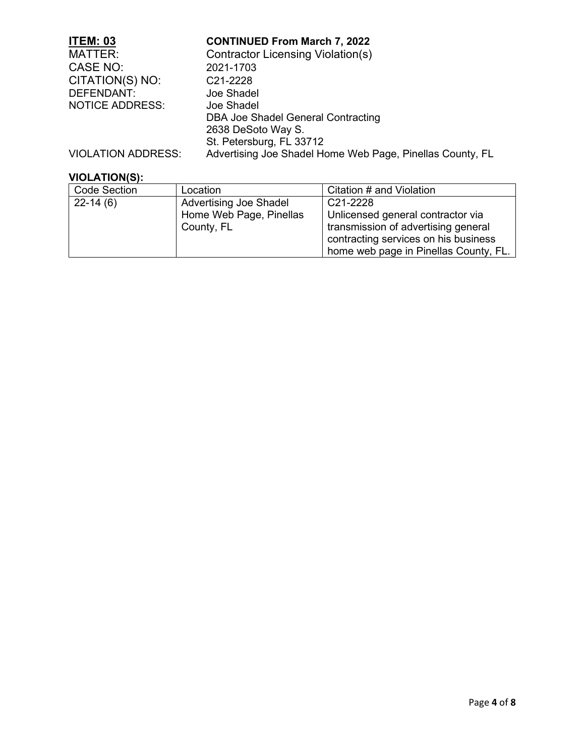| <b>ITEM: 03</b>        | <b>CONTINUED From March 7, 2022</b>                       |
|------------------------|-----------------------------------------------------------|
| <b>MATTER:</b>         | <b>Contractor Licensing Violation(s)</b>                  |
| CASE NO:               | 2021-1703                                                 |
| CITATION(S) NO:        | C <sub>21</sub> -2228                                     |
| DEFENDANT:             | Joe Shadel                                                |
| <b>NOTICE ADDRESS:</b> | Joe Shadel                                                |
|                        | DBA Joe Shadel General Contracting                        |
|                        | 2638 DeSoto Way S.                                        |
|                        | St. Petersburg, FL 33712                                  |
| VIOLATION ADDRESS:     | Advertising Joe Shadel Home Web Page, Pinellas County, FL |

| <b>Code Section</b> | Location                              | Citation # and Violation                                                                                                                                  |
|---------------------|---------------------------------------|-----------------------------------------------------------------------------------------------------------------------------------------------------------|
| $22-14(6)$          | <b>Advertising Joe Shadel</b>         | C21-2228                                                                                                                                                  |
|                     | Home Web Page, Pinellas<br>County, FL | Unlicensed general contractor via<br>transmission of advertising general<br>contracting services on his business<br>home web page in Pinellas County, FL. |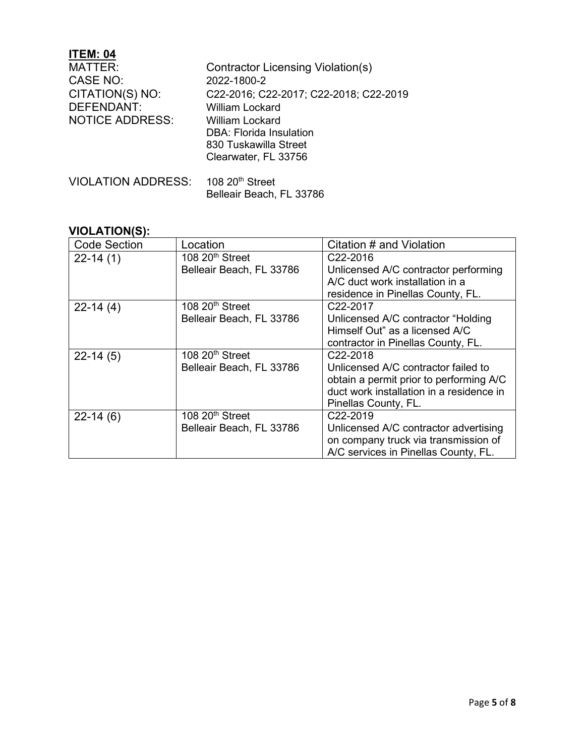## **ITEM: 04**

| MATTER:<br><b>CASE NO:</b><br>CITATION(S) NO:<br><b>DEFENDANT:</b><br><b>NOTICE ADDRESS:</b> | Contractor Licensing Violation(s)<br>2022-1800-2<br>C22-2016; C22-2017; C22-2018; C22-2019<br>William Lockard<br><b>William Lockard</b><br>DBA: Florida Insulation<br>830 Tuskawilla Street |
|----------------------------------------------------------------------------------------------|---------------------------------------------------------------------------------------------------------------------------------------------------------------------------------------------|
| VIOLATION ADDRESS: 108 20th Street                                                           | Clearwater, FL 33756                                                                                                                                                                        |

Belleair Beach, FL 33786

| <b>Code Section</b> | Location                    | Citation # and Violation                 |
|---------------------|-----------------------------|------------------------------------------|
| $22 - 14(1)$        | 108 20 <sup>th</sup> Street | C22-2016                                 |
|                     | Belleair Beach, FL 33786    | Unlicensed A/C contractor performing     |
|                     |                             | A/C duct work installation in a          |
|                     |                             | residence in Pinellas County, FL.        |
| $22-14(4)$          | 108 $20th$ Street           | C22-2017                                 |
|                     | Belleair Beach, FL 33786    | Unlicensed A/C contractor "Holding"      |
|                     |                             | Himself Out" as a licensed A/C           |
|                     |                             | contractor in Pinellas County, FL.       |
| $22-14(5)$          | 108 20 <sup>th</sup> Street | C <sub>22</sub> -2018                    |
|                     | Belleair Beach, FL 33786    | Unlicensed A/C contractor failed to      |
|                     |                             | obtain a permit prior to performing A/C  |
|                     |                             | duct work installation in a residence in |
|                     |                             | Pinellas County, FL.                     |
| $22-14(6)$          | 108 20 <sup>th</sup> Street | C <sub>22</sub> -2019                    |
|                     | Belleair Beach, FL 33786    | Unlicensed A/C contractor advertising    |
|                     |                             | on company truck via transmission of     |
|                     |                             | A/C services in Pinellas County, FL.     |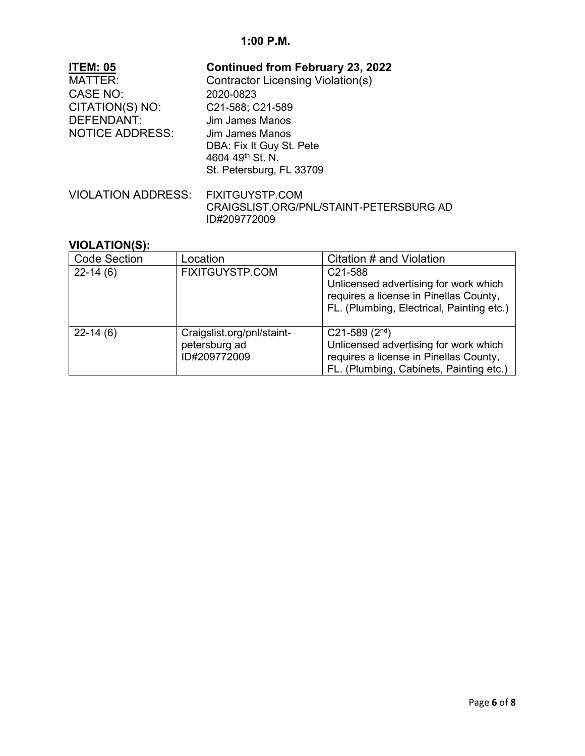| <b>ITEM: 05</b>        | <b>Continued from February 23, 2022</b>  |
|------------------------|------------------------------------------|
| <b>MATTER:</b>         | <b>Contractor Licensing Violation(s)</b> |
| CASE NO:               | 2020-0823                                |
| CITATION(S) NO:        | C21-588; C21-589                         |
| DEFENDANT:             | Jim James Manos                          |
| <b>NOTICE ADDRESS:</b> | Jim James Manos                          |
|                        | DBA: Fix It Guy St. Pete                 |
|                        | 4604 49th St. N.                         |
|                        | St. Petersburg, FL 33709                 |
|                        |                                          |
| VIOLATION ADDRESS:     | <b>FIXITGUYSTP.COM</b>                   |
|                        | CRAIGSLIST.ORG/PNL/STAINT-PETERSBURG AD  |

ID#209772009

| <b>Code Section</b> | Location                                                    | Citation # and Violation                                                                                                                                   |
|---------------------|-------------------------------------------------------------|------------------------------------------------------------------------------------------------------------------------------------------------------------|
| $22-14(6)$          | FIXITGUYSTP.COM                                             | C21-588<br>Unlicensed advertising for work which<br>requires a license in Pinellas County,<br>FL. (Plumbing, Electrical, Painting etc.)                    |
| $22-14(6)$          | Craigslist.org/pnl/staint-<br>petersburg ad<br>ID#209772009 | $C21-589$ (2 <sup>nd</sup> )<br>Unlicensed advertising for work which<br>requires a license in Pinellas County,<br>FL. (Plumbing, Cabinets, Painting etc.) |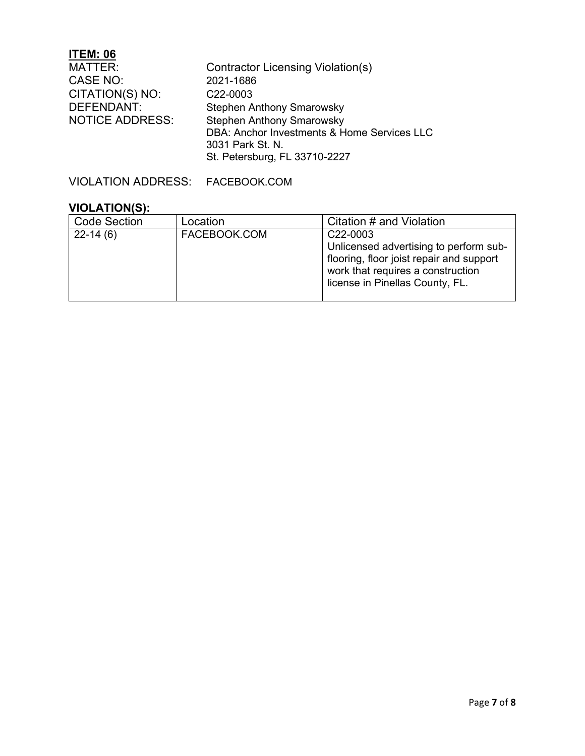## **ITEM: 06**

| MATTER:                | <b>Contractor Licensing Violation(s)</b>    |
|------------------------|---------------------------------------------|
| CASE NO:               | 2021-1686                                   |
| CITATION(S) NO:        | C22-0003                                    |
| <b>DEFENDANT:</b>      | <b>Stephen Anthony Smarowsky</b>            |
| <b>NOTICE ADDRESS:</b> | <b>Stephen Anthony Smarowsky</b>            |
|                        | DBA: Anchor Investments & Home Services LLC |
|                        | 3031 Park St. N.                            |
|                        | St. Petersburg, FL 33710-2227               |

VIOLATION ADDRESS: FACEBOOK.COM

| <b>Code Section</b> | Location     | Citation # and Violation                                                                                                                                                            |
|---------------------|--------------|-------------------------------------------------------------------------------------------------------------------------------------------------------------------------------------|
| $22-14(6)$          | FACEBOOK.COM | C <sub>22</sub> -0003<br>Unlicensed advertising to perform sub-<br>flooring, floor joist repair and support<br>work that requires a construction<br>license in Pinellas County, FL. |